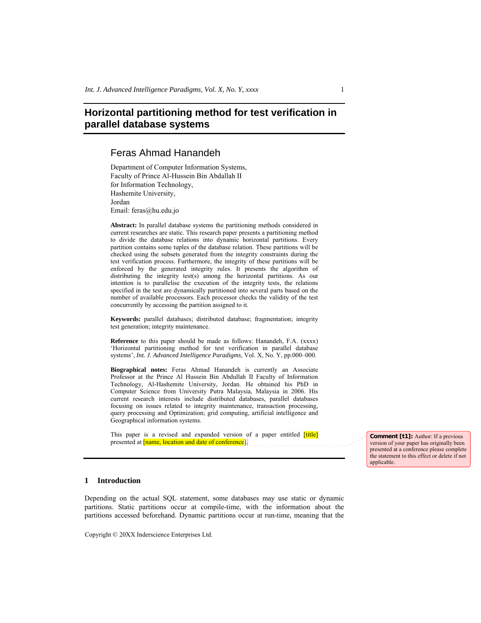# **Horizontal partitioning method for test verification in parallel database systems**

## Feras Ahmad Hanandeh

Department of Computer Information Systems, Faculty of Prince Al-Hussein Bin Abdallah II for Information Technology, Hashemite University, Jordan Email: feras@hu.edu.jo

**Abstract:** In parallel database systems the partitioning methods considered in current researches are static. This research paper presents a partitioning method to divide the database relations into dynamic horizontal partitions. Every partition contains some tuples of the database relation. These partitions will be checked using the subsets generated from the integrity constraints during the test verification process. Furthermore, the integrity of these partitions will be enforced by the generated integrity rules. It presents the algorithm of distributing the integrity test(s) among the horizontal partitions. As our intention is to parallelise the execution of the integrity tests, the relations specified in the test are dynamically partitioned into several parts based on the number of available processors. Each processor checks the validity of the test concurrently by accessing the partition assigned to it.

**Keywords:** parallel databases; distributed database; fragmentation; integrity test generation; integrity maintenance.

**Reference** to this paper should be made as follows: Hanandeh, F.A. (xxxx) 'Horizontal partitioning method for test verification in parallel database systems', *Int. J. Advanced Intelligence Paradigms*, Vol. X, No. Y, pp.000–000.

**Biographical notes:** Feras Ahmad Hanandeh is currently an Associate Professor at the Prince Al Hussein Bin Abdullah II Faculty of Information Technology, Al-Hashemite University, Jordan. He obtained his PhD in Computer Science from University Putra Malaysia, Malaysia in 2006. His current research interests include distributed databases, parallel databases focusing on issues related to integrity maintenance, transaction processing, query processing and Optimization; grid computing, artificial intelligence and Geographical information systems.

This paper is a revised and expanded version of a paper entitled *[title]* presented at **[name, location and date of conference**].

**Comment [t1]:** Author: If a previous version of your paper has originally been presented at a conference please complete the statement to this effect or delete if not applicable.

## **1 Introduction**

Depending on the actual SQL statement, some databases may use static or dynamic partitions. Static partitions occur at compile-time, with the information about the partitions accessed beforehand. Dynamic partitions occur at run-time, meaning that the

Copyright © 20XX Inderscience Enterprises Ltd.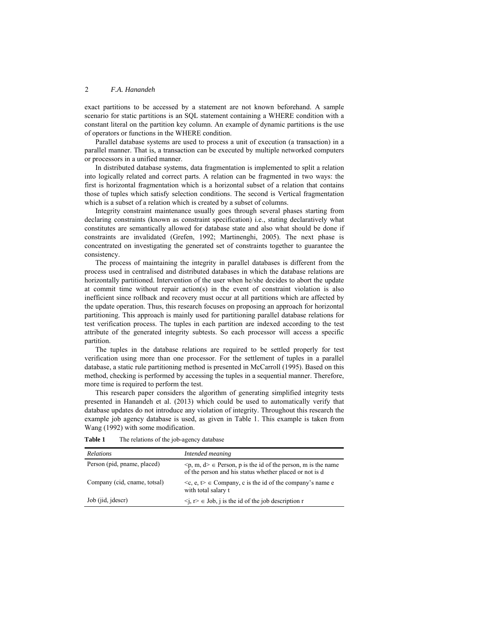exact partitions to be accessed by a statement are not known beforehand. A sample scenario for static partitions is an SQL statement containing a WHERE condition with a constant literal on the partition key column. An example of dynamic partitions is the use of operators or functions in the WHERE condition.

Parallel database systems are used to process a unit of execution (a transaction) in a parallel manner. That is, a transaction can be executed by multiple networked computers or processors in a unified manner.

In distributed database systems, data fragmentation is implemented to split a relation into logically related and correct parts. A relation can be fragmented in two ways: the first is horizontal fragmentation which is a horizontal subset of a relation that contains those of tuples which satisfy selection conditions. The second is Vertical fragmentation which is a subset of a relation which is created by a subset of columns.

Integrity constraint maintenance usually goes through several phases starting from declaring constraints (known as constraint specification) i.e., stating declaratively what constitutes are semantically allowed for database state and also what should be done if constraints are invalidated (Grefen, 1992; Martinenghi, 2005). The next phase is concentrated on investigating the generated set of constraints together to guarantee the consistency.

The process of maintaining the integrity in parallel databases is different from the process used in centralised and distributed databases in which the database relations are horizontally partitioned. Intervention of the user when he/she decides to abort the update at commit time without repair action(s) in the event of constraint violation is also inefficient since rollback and recovery must occur at all partitions which are affected by the update operation. Thus, this research focuses on proposing an approach for horizontal partitioning. This approach is mainly used for partitioning parallel database relations for test verification process. The tuples in each partition are indexed according to the test attribute of the generated integrity subtests. So each processor will access a specific partition.

The tuples in the database relations are required to be settled properly for test verification using more than one processor. For the settlement of tuples in a parallel database, a static rule partitioning method is presented in McCarroll (1995). Based on this method, checking is performed by accessing the tuples in a sequential manner. Therefore, more time is required to perform the test.

This research paper considers the algorithm of generating simplified integrity tests presented in Hanandeh et al. (2013) which could be used to automatically verify that database updates do not introduce any violation of integrity. Throughout this research the example job agency database is used, as given in Table 1. This example is taken from Wang (1992) with some modification.

Table 1 The relations of the job-agency database

| <b>Relations</b>             | Intended meaning                                                                                                                  |
|------------------------------|-----------------------------------------------------------------------------------------------------------------------------------|
| Person (pid, pname, placed)  | $\leq p, m, d \geq P$ Person, p is the id of the person, m is the name<br>of the person and his status whether placed or not is d |
| Company (cid, cname, totsal) | $\langle c, e \rangle \in \langle c \rangle$ = Company, c is the id of the company's name e<br>with total salary t                |
| Job (jid, jdescr)            | $\langle i, r \rangle \in$ Job, i is the id of the job description r                                                              |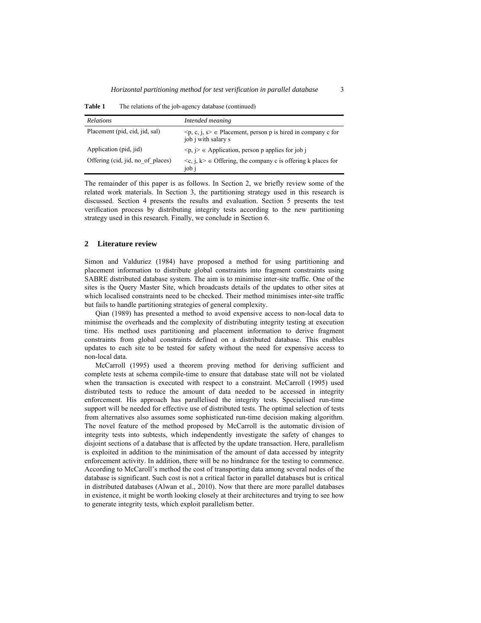**Table 1** The relations of the job-agency database (continued)

| <b>Relations</b>                  | Intended meaning                                                                                                          |
|-----------------------------------|---------------------------------------------------------------------------------------------------------------------------|
| Placement (pid, cid, jid, sal)    | $\langle p, c, j, s \rangle \in$ Placement, person p is hired in company c for<br>job j with salary s                     |
| Application (pid, jid)            | $\langle p, j \rangle \in$ Application, person p applies for job j                                                        |
| Offering (cid, jid, no of places) | $\langle \mathbf{c}, \mathbf{i}, \mathbf{k} \rangle \in \mathbf{Omega}$ , the company c is offering k places for<br>job j |

The remainder of this paper is as follows. In Section 2, we briefly review some of the related work materials. In Section 3, the partitioning strategy used in this research is discussed. Section 4 presents the results and evaluation. Section 5 presents the test verification process by distributing integrity tests according to the new partitioning strategy used in this research. Finally, we conclude in Section 6.

#### **2 Literature review**

Simon and Valduriez (1984) have proposed a method for using partitioning and placement information to distribute global constraints into fragment constraints using SABRE distributed database system. The aim is to minimise inter-site traffic. One of the sites is the Query Master Site, which broadcasts details of the updates to other sites at which localised constraints need to be checked. Their method minimises inter-site traffic but fails to handle partitioning strategies of general complexity.

Qian (1989) has presented a method to avoid expensive access to non-local data to minimise the overheads and the complexity of distributing integrity testing at execution time. His method uses partitioning and placement information to derive fragment constraints from global constraints defined on a distributed database. This enables updates to each site to be tested for safety without the need for expensive access to non-local data.

McCarroll (1995) used a theorem proving method for deriving sufficient and complete tests at schema compile-time to ensure that database state will not be violated when the transaction is executed with respect to a constraint. McCarroll (1995) used distributed tests to reduce the amount of data needed to be accessed in integrity enforcement. His approach has parallelised the integrity tests. Specialised run-time support will be needed for effective use of distributed tests. The optimal selection of tests from alternatives also assumes some sophisticated run-time decision making algorithm. The novel feature of the method proposed by McCarroll is the automatic division of integrity tests into subtests, which independently investigate the safety of changes to disjoint sections of a database that is affected by the update transaction. Here, parallelism is exploited in addition to the minimisation of the amount of data accessed by integrity enforcement activity. In addition, there will be no hindrance for the testing to commence. According to McCaroll's method the cost of transporting data among several nodes of the database is significant. Such cost is not a critical factor in parallel databases but is critical in distributed databases (Alwan et al., 2010). Now that there are more parallel databases in existence, it might be worth looking closely at their architectures and trying to see how to generate integrity tests, which exploit parallelism better.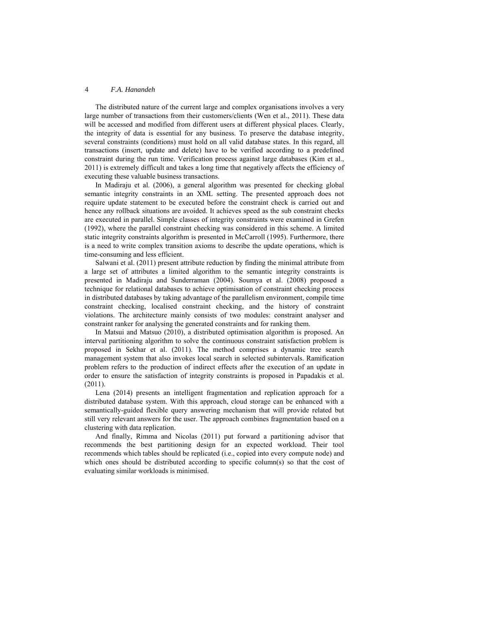The distributed nature of the current large and complex organisations involves a very large number of transactions from their customers/clients (Wen et al., 2011). These data will be accessed and modified from different users at different physical places. Clearly, the integrity of data is essential for any business. To preserve the database integrity, several constraints (conditions) must hold on all valid database states. In this regard, all transactions (insert, update and delete) have to be verified according to a predefined constraint during the run time. Verification process against large databases (Kim et al., 2011) is extremely difficult and takes a long time that negatively affects the efficiency of executing these valuable business transactions.

In Madiraju et al. (2006), a general algorithm was presented for checking global semantic integrity constraints in an XML setting. The presented approach does not require update statement to be executed before the constraint check is carried out and hence any rollback situations are avoided. It achieves speed as the sub constraint checks are executed in parallel. Simple classes of integrity constraints were examined in Grefen (1992), where the parallel constraint checking was considered in this scheme. A limited static integrity constraints algorithm is presented in McCarroll (1995). Furthermore, there is a need to write complex transition axioms to describe the update operations, which is time-consuming and less efficient.

Salwani et al. (2011) present attribute reduction by finding the minimal attribute from a large set of attributes a limited algorithm to the semantic integrity constraints is presented in Madiraju and Sunderraman (2004). Soumya et al. (2008) proposed a technique for relational databases to achieve optimisation of constraint checking process in distributed databases by taking advantage of the parallelism environment, compile time constraint checking, localised constraint checking, and the history of constraint violations. The architecture mainly consists of two modules: constraint analyser and constraint ranker for analysing the generated constraints and for ranking them.

In Matsui and Matsuo (2010), a distributed optimisation algorithm is proposed. An interval partitioning algorithm to solve the continuous constraint satisfaction problem is proposed in Sekhar et al. (2011). The method comprises a dynamic tree search management system that also invokes local search in selected subintervals. Ramification problem refers to the production of indirect effects after the execution of an update in order to ensure the satisfaction of integrity constraints is proposed in Papadakis et al. (2011).

Lena (2014) presents an intelligent fragmentation and replication approach for a distributed database system. With this approach, cloud storage can be enhanced with a semantically-guided flexible query answering mechanism that will provide related but still very relevant answers for the user. The approach combines fragmentation based on a clustering with data replication.

And finally, Rimma and Nicolas (2011) put forward a partitioning advisor that recommends the best partitioning design for an expected workload. Their tool recommends which tables should be replicated (i.e., copied into every compute node) and which ones should be distributed according to specific column(s) so that the cost of evaluating similar workloads is minimised.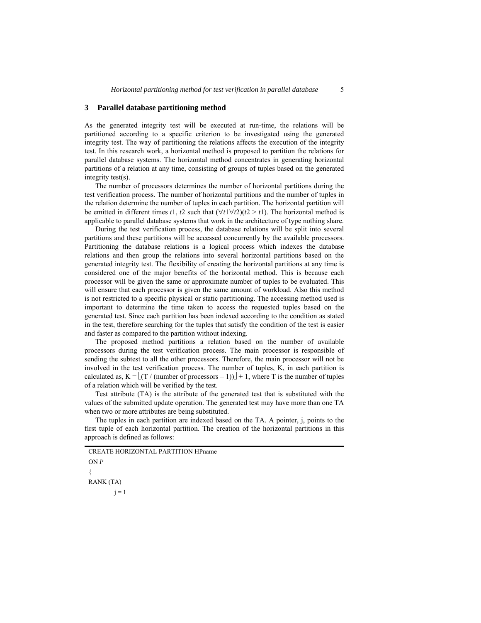#### **3 Parallel database partitioning method**

As the generated integrity test will be executed at run-time, the relations will be partitioned according to a specific criterion to be investigated using the generated integrity test. The way of partitioning the relations affects the execution of the integrity test. In this research work, a horizontal method is proposed to partition the relations for parallel database systems. The horizontal method concentrates in generating horizontal partitions of a relation at any time, consisting of groups of tuples based on the generated integrity test(s).

The number of processors determines the number of horizontal partitions during the test verification process. The number of horizontal partitions and the number of tuples in the relation determine the number of tuples in each partition. The horizontal partition will be emitted in different times *t*1, *t*2 such that  $(\forall t)(t)(t^2 \ge t)$ . The horizontal method is applicable to parallel database systems that work in the architecture of type nothing share.

During the test verification process, the database relations will be split into several partitions and these partitions will be accessed concurrently by the available processors. Partitioning the database relations is a logical process which indexes the database relations and then group the relations into several horizontal partitions based on the generated integrity test. The flexibility of creating the horizontal partitions at any time is considered one of the major benefits of the horizontal method. This is because each processor will be given the same or approximate number of tuples to be evaluated. This will ensure that each processor is given the same amount of workload. Also this method is not restricted to a specific physical or static partitioning. The accessing method used is important to determine the time taken to access the requested tuples based on the generated test. Since each partition has been indexed according to the condition as stated in the test, therefore searching for the tuples that satisfy the condition of the test is easier and faster as compared to the partition without indexing.

The proposed method partitions a relation based on the number of available processors during the test verification process. The main processor is responsible of sending the subtest to all the other processors. Therefore, the main processor will not be involved in the test verification process. The number of tuples, K, in each partition is calculated as,  $K = \lfloor (T / (number \ of \ processors - 1)) \rfloor + 1$ , where T is the number of tuples of a relation which will be verified by the test.

Test attribute (TA) is the attribute of the generated test that is substituted with the values of the submitted update operation. The generated test may have more than one TA when two or more attributes are being substituted.

The tuples in each partition are indexed based on the TA. A pointer, j, points to the first tuple of each horizontal partition. The creation of the horizontal partitions in this approach is defined as follows:

CREATE HORIZONTAL PARTITION HPname ON *P* { RANK (TA)

 $j = 1$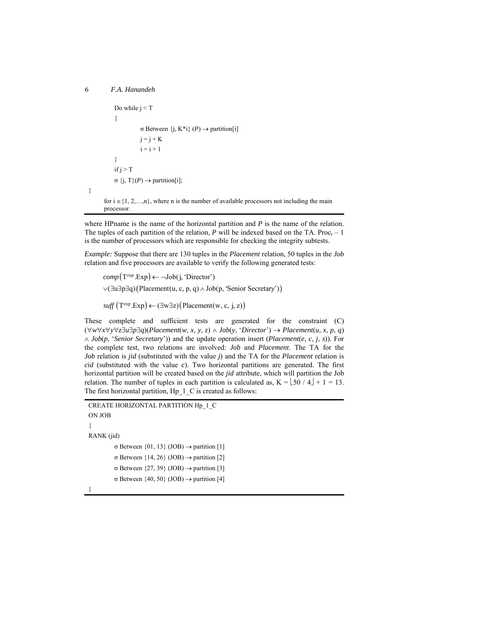```
Do while j < T{ 
                      σ Between {j, K*i} (P) → partition[i] 
                      j = j + Ki = i + 1} 
           if j > T\sigma {j, T}(P) \rightarrow partition[i];
} 
       for i \in \{1, 2, \ldots, n\}, where n is the number of available processors not including the main
      processor.
```
where HPname is the name of the horizontal partition and *P* is the name of the relation. The tuples of each partition of the relation, *P* will be indexed based on the TA. Proc<sub>r</sub> – 1 is the number of processors which are responsible for checking the integrity subtests.

*Example:* Suppose that there are 130 tuples in the *Placement* relation, 50 tuples in the *Job* relation and five processors are available to verify the following generated tests:

 $comp(\text{T}^{exp}.Exp) \leftarrow \neg \text{Job}(j, \text{`Director'})$ ∨(∃u∃p∃q)(Placement(u, c, p, q)∧Job(p, 'Senior Secretary')) ( ) ( ) exp *suff* T .Exp ( w z) Placement(w, c, j, z) ←∃ ∃

These complete and sufficient tests are generated for the constraint (C) (∀*w*∀*x*∀*y*∀*z*∃*u*∃*p*∃*q*)(*Placement*(*w*, *x*, *y*, *z*) ∧ *Job*(*y*, '*Director*') → *Placement*(*u*, *x*, *p*, *q*) ∧ *Job*(*p*, '*Senior Secretary*')) and the update operation insert (*Placement*(*e*, *c*, *j*, *s*)). For the complete test, two relations are involved: *Job* and *Placement*. The TA for the *Job* relation is *jid* (substituted with the value *j*) and the TA for the *Placement* relation is *cid* (substituted with the value *c*). Two horizontal partitions are generated. The first horizontal partition will be created based on the *jid* attribute, which will partition the Job relation. The number of tuples in each partition is calculated as,  $K = \frac{150}{4} + 1 = 13$ . The first horizontal partition, Hp<sub>1</sub>C is created as follows:

```
CREATE HORIZONTAL PARTITION Hp_1_C 
ON JOB 
{ 
RANK (jid) 
         σ Between {01, 13} (JOB) → partition [1] 
         σ Between {14, 26} (JOB) → partition [2] 
         σ Between {27, 39} (JOB) → partition [3] 
         σ Between {40, 50} (JOB) → partition [4]
```
}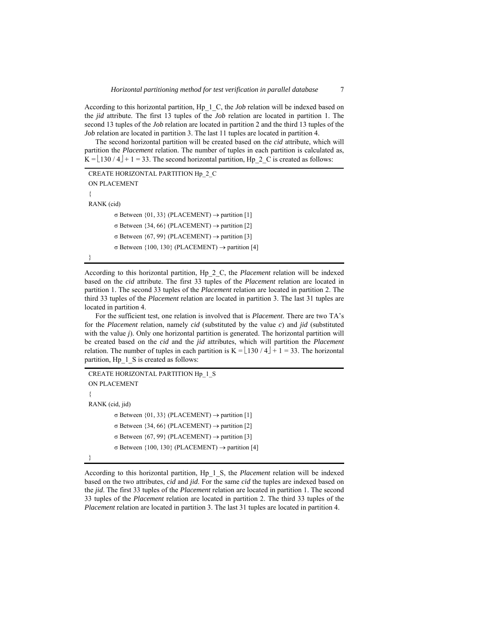According to this horizontal partition, Hp\_1\_C, the *Job* relation will be indexed based on the *jid* attribute. The first 13 tuples of the *Job* relation are located in partition 1. The second 13 tuples of the *Job* relation are located in partition 2 and the third 13 tuples of the *Job* relation are located in partition 3. The last 11 tuples are located in partition 4.

The second horizontal partition will be created based on the *cid* attribute, which will partition the *Placement* relation. The number of tuples in each partition is calculated as,  $K = \lfloor 130 / 4 \rfloor + 1 = 33$ . The second horizontal partition, Hp\_2\_C is created as follows:

```
CREATE HORIZONTAL PARTITION Hp_2_C 
ON PLACEMENT 
{ 
RANK (cid) 
        σ Between {01, 33} (PLACEMENT) → partition [1] 
        σ Between {34, 66} (PLACEMENT) → partition [2] 
        σ Between {67, 99} (PLACEMENT) → partition [3] 
        σ Between {100, 130} (PLACEMENT) → partition [4] 
}
```
According to this horizontal partition, Hp\_2\_C, the *Placement* relation will be indexed based on the *cid* attribute. The first 33 tuples of the *Placement* relation are located in partition 1. The second 33 tuples of the *Placement* relation are located in partition 2. The third 33 tuples of the *Placement* relation are located in partition 3. The last 31 tuples are located in partition 4.

For the sufficient test, one relation is involved that is *Placement*. There are two TA's for the *Placement* relation, namely *cid* (substituted by the value *c*) and *jid* (substituted with the value *j*). Only one horizontal partition is generated. The horizontal partition will be created based on the *cid* and the *jid* attributes, which will partition the *Placement* relation. The number of tuples in each partition is  $K = \lfloor 130 / 4 \rfloor + 1 = 33$ . The horizontal partition, Hp\_1\_S is created as follows:

```
CREATE HORIZONTAL PARTITION Hp_1_S 
ON PLACEMENT 
{ 
RANK (cid, jid) 
        σ Between {01, 33} (PLACEMENT) → partition [1] 
        σ Between {34, 66} (PLACEMENT) → partition [2] 
        σ Between {67, 99} (PLACEMENT) → partition [3] 
        σ Between {100, 130} (PLACEMENT) → partition [4] 
}
```
According to this horizontal partition, Hp\_1\_S, the *Placement* relation will be indexed based on the two attributes, *cid* and *jid*. For the same *cid* the tuples are indexed based on the *jid*. The first 33 tuples of the *Placement* relation are located in partition 1. The second 33 tuples of the *Placement* relation are located in partition 2. The third 33 tuples of the *Placement* relation are located in partition 3. The last 31 tuples are located in partition 4.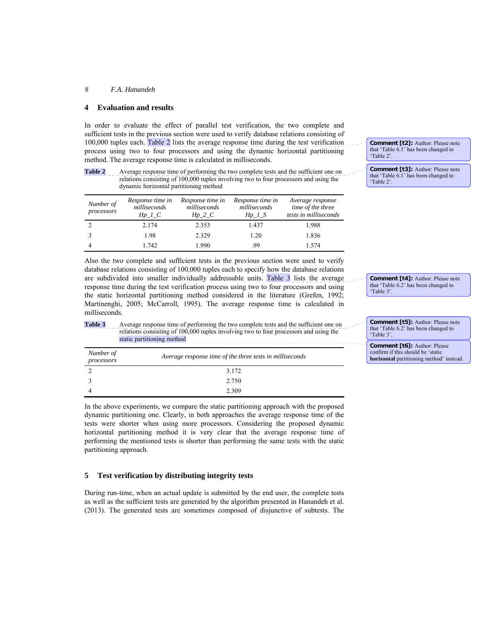#### **4 Evaluation and results**

In order to evaluate the effect of parallel test verification, the two complete and sufficient tests in the previous section were used to verify database relations consisting of  $100,000$  tuples each. Table  $2$  lists the average response time during the test verification process using two to four processors and using the dynamic horizontal partitioning method. The average response time is calculated in milliseconds.

**Table 2** Average response time of performing the two complete tests and the sufficient one on

dynamic horizontal partitioning method

relations consisting of 100,000 tuples involving two to four processors and using the

| a vitamic norizonial partitioning include |                                                |                                              |                                              |                                                                |
|-------------------------------------------|------------------------------------------------|----------------------------------------------|----------------------------------------------|----------------------------------------------------------------|
| Number of<br>processors                   | Response time in<br>milliseconds<br>$Hp\_I\_C$ | Response time in<br>milliseconds<br>$Hp_2_C$ | Response time in<br>milliseconds<br>$Hp_1_S$ | Average response<br>time of the three<br>tests in milliseconds |
|                                           | 2.174                                          | 2.353                                        | 1.437                                        | 1.988                                                          |
|                                           | 1.98                                           | 2.329                                        | 1.20                                         | 1.836                                                          |
|                                           | 1.742                                          | 1.990                                        | .99                                          | 1.574                                                          |

Also the two complete and sufficient tests in the previous section were used to verify database relations consisting of 100,000 tuples each to specify how the database relations are subdivided into smaller individually addressable units. Table  $3$  lists the average response time during the test verification process using two to four processors and using the static horizontal partitioning method considered in the literature (Grefen, 1992; Martinenghi, 2005; McCarroll, 1995). The average response time is calculated in milliseconds.

**Comment [t2]:** Author: Please note that 'Table 6.1' has been changed to 'Table 2'.

**Comment [t3]:** Author: Please note that 'Table 6.1' has been changed to 'Table 2'.

**Comment [t4]:** Author: Please note that 'Table 6.2' has been changed to 'Table 3'.

| Table 3 | Average response time of performing the two complete tests and the sufficient one on  |
|---------|---------------------------------------------------------------------------------------|
|         | relations consisting of 100,000 tuples involving two to four processors and using the |
|         | static partitioning method                                                            |
|         |                                                                                       |

| Number of<br>processors | Average response time of the three tests in milliseconds |
|-------------------------|----------------------------------------------------------|
|                         | 3.172                                                    |
|                         | 2.750                                                    |
|                         | 2.309                                                    |

In the above experiments, we compare the static partitioning approach with the proposed dynamic partitioning one. Clearly, in both approaches the average response time of the tests were shorter when using more processors. Considering the proposed dynamic horizontal partitioning method it is very clear that the average response time of performing the mentioned tests is shorter than performing the same tests with the static partitioning approach.

#### **5 Test verification by distributing integrity tests**

During run-time, when an actual update is submitted by the end user, the complete tests as well as the sufficient tests are generated by the algorithm presented in Hanandeh et al. (2013). The generated tests are sometimes composed of disjunctive of subtests. The

**Comment [t5]:** Author: Please note that 'Table 6.2' has been changed to

'Table 3'.

**Comment [t6]:** Author: Please confirm if this should be 'static **horizontal** partitioning method' instead.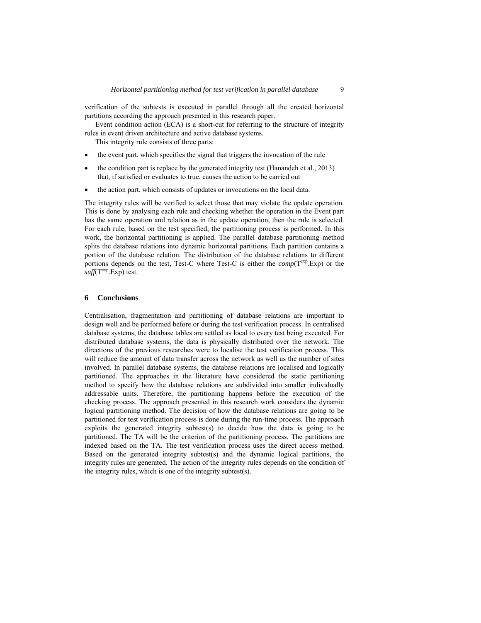verification of the subtests is executed in parallel through all the created horizontal partitions according the approach presented in this research paper.

Event condition action (ECA) is a short-cut for referring to the structure of integrity rules in event driven architecture and active database systems.

This integrity rule consists of three parts:

- the event part, which specifies the signal that triggers the invocation of the rule
- the condition part is replace by the generated integrity test (Hanandeh et al., 2013) that, if satisfied or evaluates to true, causes the action to be carried out
- the action part, which consists of updates or invocations on the local data.

The integrity rules will be verified to select those that may violate the update operation. This is done by analysing each rule and checking whether the operation in the Event part has the same operation and relation as in the update operation, then the rule is selected. For each rule, based on the test specified, the partitioning process is performed. In this work, the horizontal partitioning is applied. The parallel database partitioning method splits the database relations into dynamic horizontal partitions. Each partition contains a portion of the database relation. The distribution of the database relations to different portions depends on the test, Test-C where Test-C is either the  $comp(T^{exp}.Exp)$  or the *suff*(T<sup>exp</sup>.Exp) test.

## **6 Conclusions**

Centralisation, fragmentation and partitioning of database relations are important to design well and be performed before or during the test verification process. In centralised database systems, the database tables are settled as local to every test being executed. For distributed database systems, the data is physically distributed over the network. The directions of the previous researches were to localise the test verification process. This will reduce the amount of data transfer across the network as well as the number of sites involved. In parallel database systems, the database relations are localised and logically partitioned. The approaches in the literature have considered the static partitioning method to specify how the database relations are subdivided into smaller individually addressable units. Therefore, the partitioning happens before the execution of the checking process. The approach presented in this research work considers the dynamic logical partitioning method. The decision of how the database relations are going to be partitioned for test verification process is done during the run-time process. The approach exploits the generated integrity subtest(s) to decide how the data is going to be partitioned. The TA will be the criterion of the partitioning process. The partitions are indexed based on the TA. The test verification process uses the direct access method. Based on the generated integrity subtest(s) and the dynamic logical partitions, the integrity rules are generated. The action of the integrity rules depends on the condition of the integrity rules, which is one of the integrity subtest(s).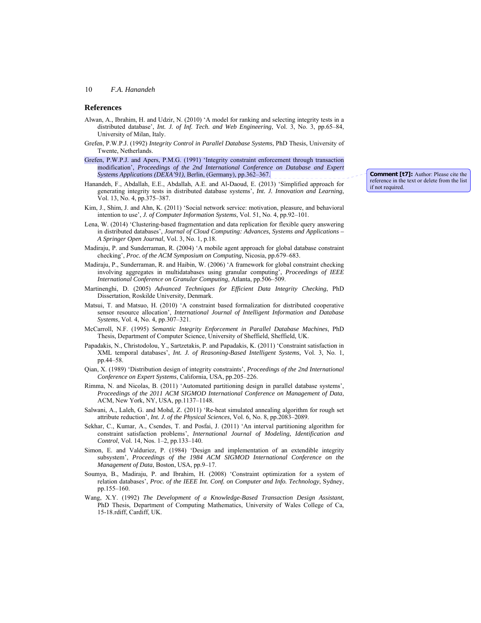#### **References**

- Alwan, A., Ibrahim, H. and Udzir, N. (2010) 'A model for ranking and selecting integrity tests in a distributed database', *Int. J. of Inf. Tech. and Web Engineering*, Vol. 3, No. 3, pp.65–84, University of Milan, Italy.
- Grefen, P.W.P.J. (1992) *Integrity Control in Parallel Database Systems*, PhD Thesis, University of Twente, Netherlands.
- Grefen, P.W.P.J. and Apers, P.M.G. (1991) 'Integrity constraint enforcement through transaction modification', *Proceedings of the 2nd International Conference on Database and Expert Systems Applications (DEXA'91)*, Berlin, (Germany), pp.362–367.
- Hanandeh, F., Abdallah, E.E., Abdallah, A.E. and Al-Daoud, E. (2013) 'Simplified approach for generating integrity tests in distributed database systems', *Int. J. Innovation and Learning*, Vol. 13, No. 4, pp.375–387.
- Kim, J., Shim, J. and Ahn, K. (2011) 'Social network service: motivation, pleasure, and behavioral intention to use', *J. of Computer Information Systems*, Vol. 51, No. 4, pp.92–101.
- Lena, W. (2014) 'Clustering-based fragmentation and data replication for flexible query answering in distributed databases', *Journal of Cloud Computing: Advances, Systems and Applications – A Springer Open Journal*, Vol. 3, No. 1, p.18.
- Madiraju, P. and Sunderraman, R. (2004) 'A mobile agent approach for global database constraint checking', *Proc. of the ACM Symposium on Computing*, Nicosia, pp.679–683.
- Madiraju, P., Sunderraman, R. and Haibin, W. (2006) 'A framework for global constraint checking involving aggregates in multidatabases using granular computing', *Proceedings of IEEE International Conference on Granular Computing*, Atlanta, pp.506–509.
- Martinenghi, D. (2005) *Advanced Techniques for Efficient Data Integrity Checking*, PhD Dissertation, Roskilde University, Denmark.
- Matsui, T. and Matsuo, H. (2010) 'A constraint based formalization for distributed cooperative sensor resource allocation', *International Journal of Intelligent Information and Database Systems*, Vol. 4, No. 4, pp.307–321.
- McCarroll, N.F. (1995) *Semantic Integrity Enforcement in Parallel Database Machines*, PhD Thesis, Department of Computer Science, University of Sheffield, Sheffield, UK.
- Papadakis, N., Christodolou, Y., Sartzetakis, P. and Papadakis, K. (2011) 'Constraint satisfaction in XML temporal databases', *Int. J. of Reasoning-Based Intelligent Systems*, Vol. 3, No. 1, pp.44–58.
- Qian, X. (1989) 'Distribution design of integrity constraints', *Proceedings of the 2nd International Conference on Expert Systems*, California, USA, pp.205–226.
- Rimma, N. and Nicolas, B. (2011) 'Automated partitioning design in parallel database systems', *Proceedings of the 2011 ACM SIGMOD International Conference on Management of Data*, ACM, New York, NY, USA, pp.1137–1148.
- Salwani, A., Laleh, G. and Mohd, Z. (2011) 'Re-heat simulated annealing algorithm for rough set attribute reduction', *Int. J. of the Physical Sciences*, Vol. 6, No. 8, pp.2083–2089.
- Sekhar, C., Kumar, A., Csendes, T. and Posfai, J. (2011) 'An interval partitioning algorithm for constraint satisfaction problems', *International Journal of Modeling, Identification and Control*, Vol. 14, Nos. 1–2, pp.133–140.
- Simon, E. and Valduriez, P. (1984) 'Design and implementation of an extendible integrity subsystem', *Proceedings of the 1984 ACM SIGMOD International Conference on the Management of Data*, Boston, USA, pp.9–17.
- Soumya, B., Madiraju, P. and Ibrahim, H. (2008) 'Constraint optimization for a system of relation databases', *Proc. of the IEEE Int. Conf. on Computer and Info. Technology*, Sydney, pp.155–160.
- Wang, X.Y. (1992) *The Development of a Knowledge-Based Transaction Design Assistant*, PhD Thesis, Department of Computing Mathematics, University of Wales College of Ca, 15-18.rdiff, Cardiff, UK.

**Comment [t7]:** Author: Please cite the reference in the text or delete from the list if not required.